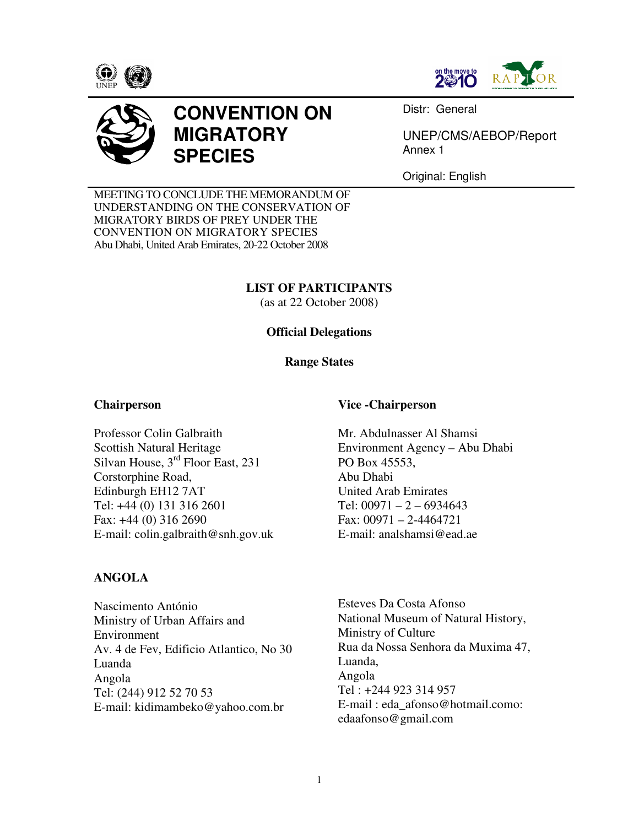





# **CONVENTION ON MIGRATORY SPECIES**

Distr: General

UNEP/CMS/AEBOP/Report Annex 1

Original: English

MEETING TO CONCLUDE THE MEMORANDUM OF UNDERSTANDING ON THE CONSERVATION OF MIGRATORY BIRDS OF PREY UNDER THE CONVENTION ON MIGRATORY SPECIES Abu Dhabi, United Arab Emirates, 20-22 October 2008

# **LIST OF PARTICIPANTS**

(as at 22 October 2008)

# **Official Delegations**

### **Range States**

### **Chairperson**

Professor Colin Galbraith Scottish Natural Heritage Silvan House, 3<sup>rd</sup> Floor East, 231 Corstorphine Road, Edinburgh EH12 7AT Tel: +44 (0) 131 316 2601 Fax: +44 (0) 316 2690 E-mail: colin.galbraith@snh.gov.uk

# **ANGOLA**

Nascimento António Ministry of Urban Affairs and Environment Av. 4 de Fev, Edificio Atlantico, No 30 Luanda Angola Tel: (244) 912 52 70 53 E-mail: kidimambeko@yahoo.com.br

### **Vice -Chairperson**

Mr. Abdulnasser Al Shamsi Environment Agency – Abu Dhabi PO Box 45553, Abu Dhabi United Arab Emirates Tel:  $00971 - 2 - 6934643$ Fax: 00971 – 2-4464721 E-mail: analshamsi@ead.ae

Esteves Da Costa Afonso National Museum of Natural History, Ministry of Culture Rua da Nossa Senhora da Muxima 47, Luanda, Angola Tel : +244 923 314 957 E-mail : eda\_afonso@hotmail.como: edaafonso@gmail.com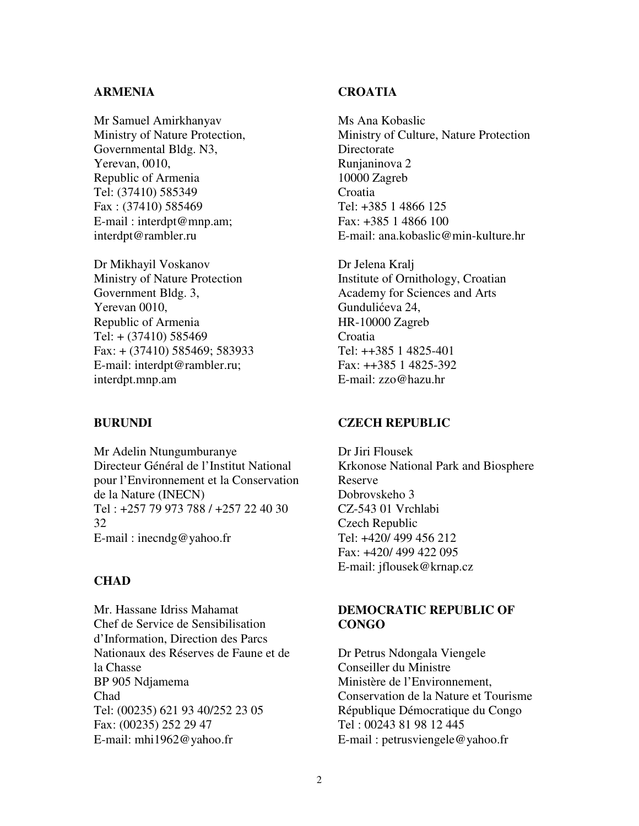## **ARMENIA**

Mr Samuel Amirkhanyav Ministry of Nature Protection, Governmental Bldg. N3, Yerevan, 0010, Republic of Armenia Tel: (37410) 585349 Fax : (37410) 585469 E-mail : interdpt@mnp.am; interdpt@rambler.ru

Dr Mikhayil Voskanov Ministry of Nature Protection Government Bldg. 3, Yerevan 0010, Republic of Armenia Tel: + (37410) 585469 Fax: + (37410) 585469; 583933 E-mail: interdpt@rambler.ru; interdpt.mnp.am

#### **BURUNDI**

Mr Adelin Ntungumburanye Directeur Général de l'Institut National pour l'Environnement et la Conservation de la Nature (INECN) Tel : +257 79 973 788 / +257 22 40 30 32 E-mail : inecndg@yahoo.fr

## **CHAD**

Mr. Hassane Idriss Mahamat Chef de Service de Sensibilisation d'Information, Direction des Parcs Nationaux des Réserves de Faune et de la Chasse BP 905 Ndjamema Chad Tel: (00235) 621 93 40/252 23 05 Fax: (00235) 252 29 47 E-mail: mhi1962@yahoo.fr

## **CROATIA**

Ms Ana Kobaslic Ministry of Culture, Nature Protection Directorate Runjaninova 2 10000 Zagreb Croatia Tel: +385 1 4866 125 Fax: +385 1 4866 100 E-mail: ana.kobaslic@min-kulture.hr

Dr Jelena Kralj Institute of Ornithology, Croatian Academy for Sciences and Arts Gundulićeva 24, HR-10000 Zagreb Croatia Tel: ++385 1 4825-401 Fax: ++385 1 4825-392 E-mail: zzo@hazu.hr

#### **CZECH REPUBLIC**

Dr Jiri Flousek Krkonose National Park and Biosphere Reserve Dobrovskeho 3 CZ-543 01 Vrchlabi Czech Republic Tel: +420/ 499 456 212 Fax: +420/ 499 422 095 E-mail: jflousek@krnap.cz

## **DEMOCRATIC REPUBLIC OF CONGO**

Dr Petrus Ndongala Viengele Conseiller du Ministre Ministère de l'Environnement, Conservation de la Nature et Tourisme République Démocratique du Congo Tel : 00243 81 98 12 445 E-mail : petrusviengele@yahoo.fr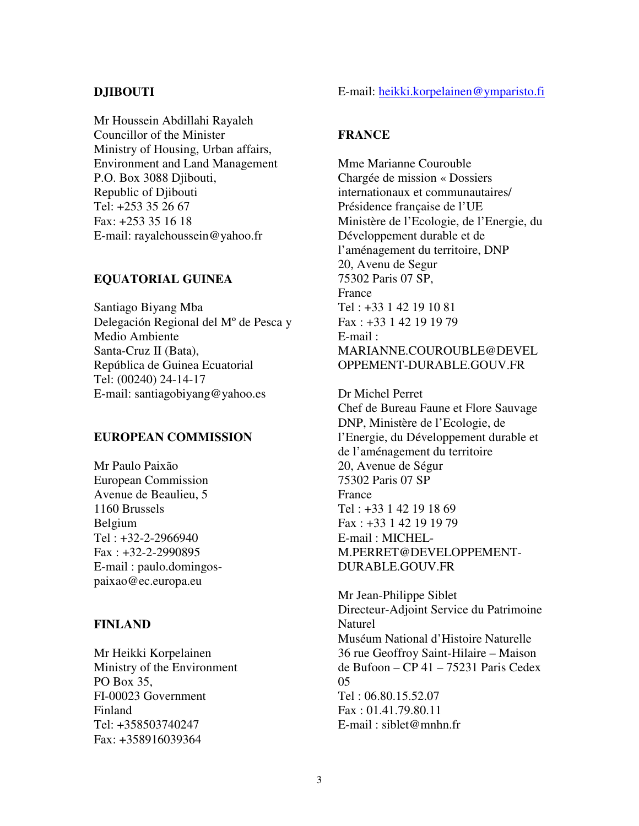## **DJIBOUTI**

Mr Houssein Abdillahi Rayaleh Councillor of the Minister Ministry of Housing, Urban affairs, Environment and Land Management P.O. Box 3088 Djibouti, Republic of Djibouti Tel: +253 35 26 67 Fax: +253 35 16 18 E-mail: rayalehoussein@yahoo.fr

### **EQUATORIAL GUINEA**

Santiago Biyang Mba Delegación Regional del Mº de Pesca y Medio Ambiente Santa-Cruz II (Bata), República de Guinea Ecuatorial Tel: (00240) 24-14-17 E-mail: santiagobiyang@yahoo.es

## **EUROPEAN COMMISSION**

Mr Paulo Paixão European Commission Avenue de Beaulieu, 5 1160 Brussels Belgium Tel : +32-2-2966940 Fax : +32-2-2990895 E-mail : paulo.domingospaixao@ec.europa.eu

#### **FINLAND**

Mr Heikki Korpelainen Ministry of the Environment PO Box 35, FI-00023 Government Finland Tel: +358503740247 Fax: +358916039364

#### E-mail: heikki.korpelainen@ymparisto.fi

#### **FRANCE**

Mme Marianne Courouble Chargée de mission « Dossiers internationaux et communautaires/ Présidence française de l'UE Ministère de l'Ecologie, de l'Energie, du Développement durable et de l'aménagement du territoire, DNP 20, Avenu de Segur 75302 Paris 07 SP, France Tel : +33 1 42 19 10 81 Fax : +33 1 42 19 19 79 E-mail : MARIANNE.COUROUBLE@DEVEL OPPEMENT-DURABLE.GOUV.FR

Dr Michel Perret Chef de Bureau Faune et Flore Sauvage DNP, Ministère de l'Ecologie, de l'Energie, du Développement durable et de l'aménagement du territoire 20, Avenue de Ségur 75302 Paris 07 SP France Tel : +33 1 42 19 18 69 Fax : +33 1 42 19 19 79 E-mail : MICHEL-M.PERRET@DEVELOPPEMENT-DURABLE.GOUV.FR

Mr Jean-Philippe Siblet Directeur-Adjoint Service du Patrimoine Naturel Muséum National d'Histoire Naturelle 36 rue Geoffroy Saint-Hilaire – Maison de Bufoon – CP 41 – 75231 Paris Cedex 05 Tel : 06.80.15.52.07 Fax : 01.41.79.80.11 E-mail : siblet@mnhn.fr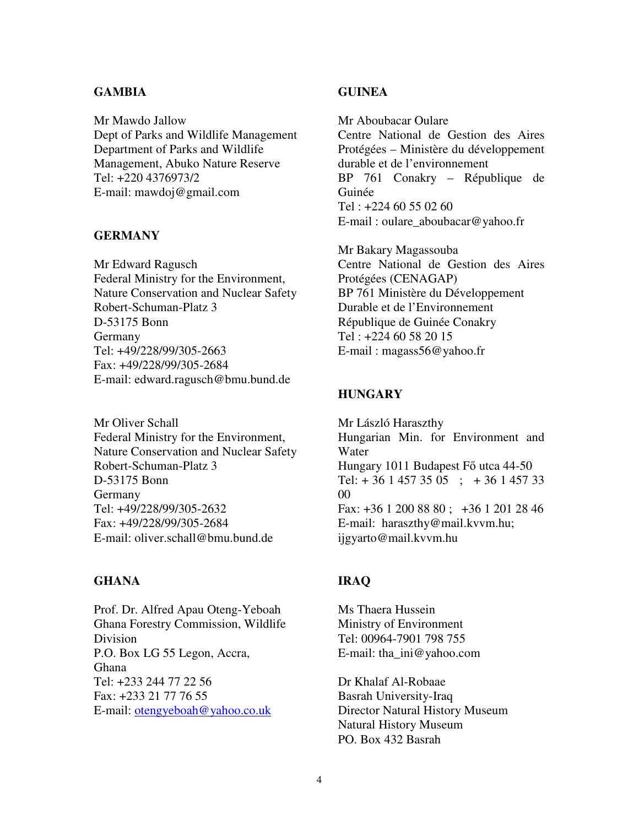## **GAMBIA**

Mr Mawdo Jallow Dept of Parks and Wildlife Management Department of Parks and Wildlife Management, Abuko Nature Reserve Tel: +220 4376973/2 E-mail: mawdoj@gmail.com

## **GERMANY**

Mr Edward Ragusch Federal Ministry for the Environment, Nature Conservation and Nuclear Safety Robert-Schuman-Platz 3 D-53175 Bonn Germany Tel: +49/228/99/305-2663 Fax: +49/228/99/305-2684 E-mail: edward.ragusch@bmu.bund.de

Mr Oliver Schall Federal Ministry for the Environment, Nature Conservation and Nuclear Safety Robert-Schuman-Platz 3 D-53175 Bonn Germany Tel: +49/228/99/305-2632 Fax: +49/228/99/305-2684 E-mail: oliver.schall@bmu.bund.de

#### **GHANA**

Prof. Dr. Alfred Apau Oteng-Yeboah Ghana Forestry Commission, Wildlife Division P.O. Box LG 55 Legon, Accra, Ghana Tel: +233 244 77 22 56 Fax: +233 21 77 76 55 E-mail: otengyeboah@yahoo.co.uk

## **GUINEA**

Mr Aboubacar Oulare Centre National de Gestion des Aires Protégées – Ministère du développement durable et de l'environnement BP 761 Conakry – République de Guinée Tel : +224 60 55 02 60 E-mail : oulare\_aboubacar@yahoo.fr

Mr Bakary Magassouba Centre National de Gestion des Aires Protégées (CENAGAP) BP 761 Ministère du Développement Durable et de l'Environnement République de Guinée Conakry Tel : +224 60 58 20 15 E-mail : magass56@yahoo.fr

#### **HUNGARY**

Mr László Haraszthy Hungarian Min. for Environment and Water Hungary 1011 Budapest F<sub>0</sub> utca 44-50 Tel:  $+ 3614573505$ ;  $+ 36145733$ 00 Fax: +36 1 200 88 80 ; +36 1 201 28 46 E-mail: haraszthy@mail.kvvm.hu; ijgyarto@mail.kvvm.hu

## **IRAQ**

Ms Thaera Hussein Ministry of Environment Tel: 00964-7901 798 755 E-mail: tha\_ini@yahoo.com

Dr Khalaf Al-Robaae Basrah University-Iraq Director Natural History Museum Natural History Museum PO. Box 432 Basrah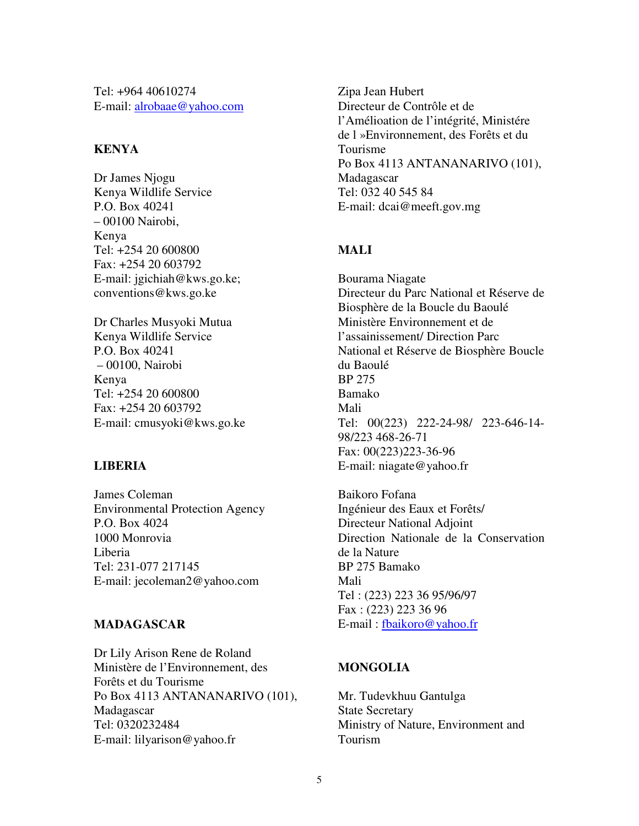Tel: +964 40610274 E-mail: alrobaae@yahoo.com

## **KENYA**

Dr James Njogu Kenya Wildlife Service P.O. Box 40241 – 00100 Nairobi, Kenya Tel: +254 20 600800 Fax: +254 20 603792 E-mail: jgichiah@kws.go.ke; conventions@kws.go.ke

Dr Charles Musyoki Mutua Kenya Wildlife Service P.O. Box 40241 – 00100, Nairobi Kenya Tel: +254 20 600800 Fax: +254 20 603792 E-mail: cmusyoki@kws.go.ke

# **LIBERIA**

James Coleman Environmental Protection Agency P.O. Box 4024 1000 Monrovia Liberia Tel: 231-077 217145 E-mail: jecoleman2@yahoo.com

# **MADAGASCAR**

Dr Lily Arison Rene de Roland Ministère de l'Environnement, des Forêts et du Tourisme Po Box 4113 ANTANANARIVO (101), Madagascar Tel: 0320232484 E-mail: lilyarison@yahoo.fr

Zipa Jean Hubert Directeur de Contrôle et de l'Amélioation de l'intégrité, Ministére de l »Environnement, des Forêts et du Tourisme Po Box 4113 ANTANANARIVO (101), Madagascar Tel: 032 40 545 84 E-mail: dcai@meeft.gov.mg

# **MALI**

Bourama Niagate Directeur du Parc National et Réserve de Biosphère de la Boucle du Baoulé Ministère Environnement et de l'assainissement/ Direction Parc National et Réserve de Biosphère Boucle du Baoulé BP 275 Bamako Mali Tel: 00(223) 222-24-98/ 223-646-14- 98/223 468-26-71 Fax: 00(223)223-36-96 E-mail: niagate@yahoo.fr

Baikoro Fofana Ingénieur des Eaux et Forêts/ Directeur National Adjoint Direction Nationale de la Conservation de la Nature BP 275 Bamako Mali Tel : (223) 223 36 95/96/97 Fax : (223) 223 36 96 E-mail : fbaikoro@yahoo.fr

# **MONGOLIA**

Mr. Tudevkhuu Gantulga State Secretary Ministry of Nature, Environment and Tourism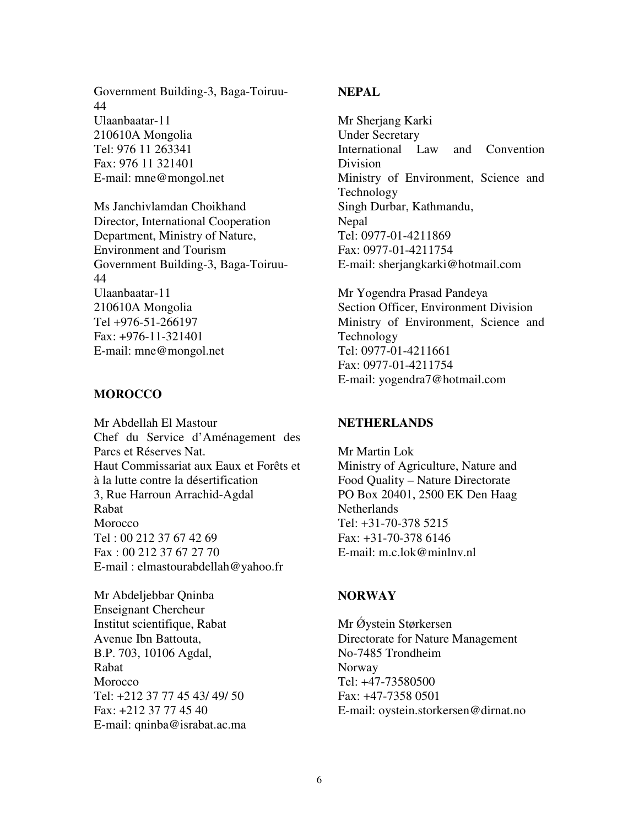Government Building-3, Baga-Toiruu-44 Ulaanbaatar-11 210610A Mongolia Tel: 976 11 263341 Fax: 976 11 321401 E-mail: mne@mongol.net

Ms Janchivlamdan Choikhand Director, International Cooperation Department, Ministry of Nature, Environment and Tourism Government Building-3, Baga-Toiruu-44 Ulaanbaatar-11 210610A Mongolia Tel +976-51-266197 Fax: +976-11-321401 E-mail: mne@mongol.net

## **MOROCCO**

Mr Abdellah El Mastour Chef du Service d'Aménagement des Parcs et Réserves Nat. Haut Commissariat aux Eaux et Forêts et à la lutte contre la désertification 3, Rue Harroun Arrachid-Agdal Rabat **Morocco** Tel : 00 212 37 67 42 69 Fax : 00 212 37 67 27 70 E-mail : elmastourabdellah@yahoo.fr

Mr Abdeljebbar Qninba Enseignant Chercheur Institut scientifique, Rabat Avenue Ibn Battouta, B.P. 703, 10106 Agdal, Rabat Morocco Tel: +212 37 77 45 43/ 49/ 50 Fax: +212 37 77 45 40 E-mail: qninba@israbat.ac.ma

# **NEPAL**

Mr Sherjang Karki Under Secretary International Law and Convention Division Ministry of Environment, Science and Technology Singh Durbar, Kathmandu, Nepal Tel: 0977-01-4211869 Fax: 0977-01-4211754 E-mail: sherjangkarki@hotmail.com

Mr Yogendra Prasad Pandeya Section Officer, Environment Division Ministry of Environment, Science and Technology Tel: 0977-01-4211661 Fax: 0977-01-4211754 E-mail: yogendra7@hotmail.com

#### **NETHERLANDS**

Mr Martin Lok Ministry of Agriculture, Nature and Food Quality – Nature Directorate PO Box 20401, 2500 EK Den Haag **Netherlands** Tel: +31-70-378 5215 Fax: +31-70-378 6146 E-mail: m.c.lok@minlnv.nl

#### **NORWAY**

Mr Øystein Størkersen Directorate for Nature Management No-7485 Trondheim Norway Tel: +47-73580500 Fax: +47-7358 0501 E-mail: oystein.storkersen@dirnat.no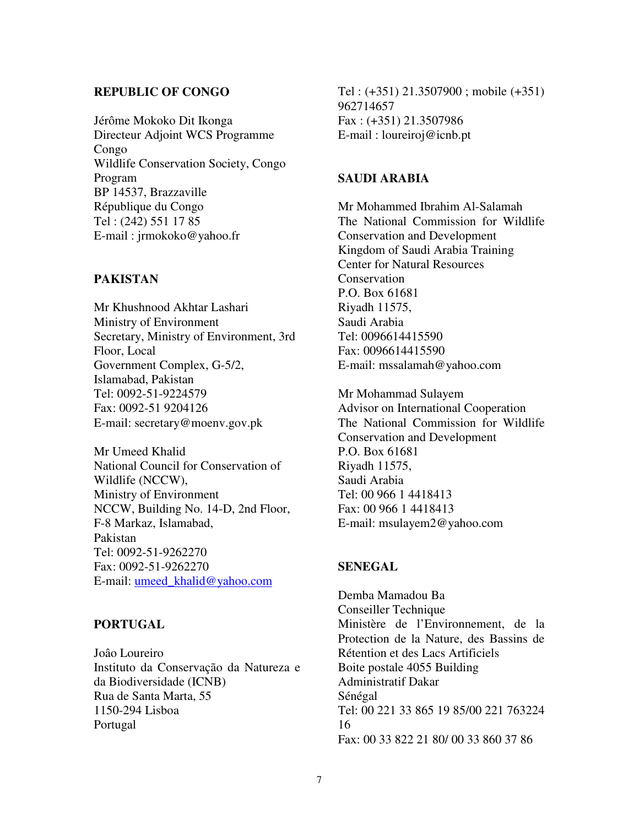## **REPUBLIC OF CONGO**

Jérôme Mokoko Dit Ikonga Directeur Adjoint WCS Programme Congo Wildlife Conservation Society, Congo Program BP 14537, Brazzaville République du Congo Tel : (242) 551 17 85 E-mail : jrmokoko@yahoo.fr

### **PAKISTAN**

Mr Khushnood Akhtar Lashari Ministry of Environment Secretary, Ministry of Environment, 3rd Floor, Local Government Complex, G-5/2, Islamabad, Pakistan Tel: 0092-51-9224579 Fax: 0092-51 9204126 E-mail: secretary@moenv.gov.pk

Mr Umeed Khalid National Council for Conservation of Wildlife (NCCW), Ministry of Environment NCCW, Building No. 14-D, 2nd Floor, F-8 Markaz, Islamabad, Pakistan Tel: 0092-51-9262270 Fax: 0092-51-9262270 E-mail: umeed\_khalid@yahoo.com

## **PORTUGAL**

Joâo Loureiro Instituto da Conservação da Natureza e da Biodiversidade (ICNB) Rua de Santa Marta, 55 1150-294 Lisboa Portugal

Tel : (+351) 21.3507900 ; mobile (+351) 962714657 Fax : (+351) 21.3507986 E-mail : loureiroj@icnb.pt

# **SAUDI ARABIA**

Mr Mohammed Ibrahim Al-Salamah The National Commission for Wildlife Conservation and Development Kingdom of Saudi Arabia Training Center for Natural Resources **Conservation** P.O. Box 61681 Riyadh 11575, Saudi Arabia Tel: 0096614415590 Fax: 0096614415590 E-mail: mssalamah@yahoo.com

Mr Mohammad Sulayem Advisor on International Cooperation The National Commission for Wildlife Conservation and Development P.O. Box 61681 Riyadh 11575, Saudi Arabia Tel: 00 966 1 4418413 Fax: 00 966 1 4418413 E-mail: msulayem2@yahoo.com

## **SENEGAL**

Demba Mamadou Ba Conseiller Technique Ministère de l'Environnement, de la Protection de la Nature, des Bassins de Rétention et des Lacs Artificiels Boite postale 4055 Building Administratif Dakar Sénégal Tel: 00 221 33 865 19 85/00 221 763224 16 Fax: 00 33 822 21 80/ 00 33 860 37 86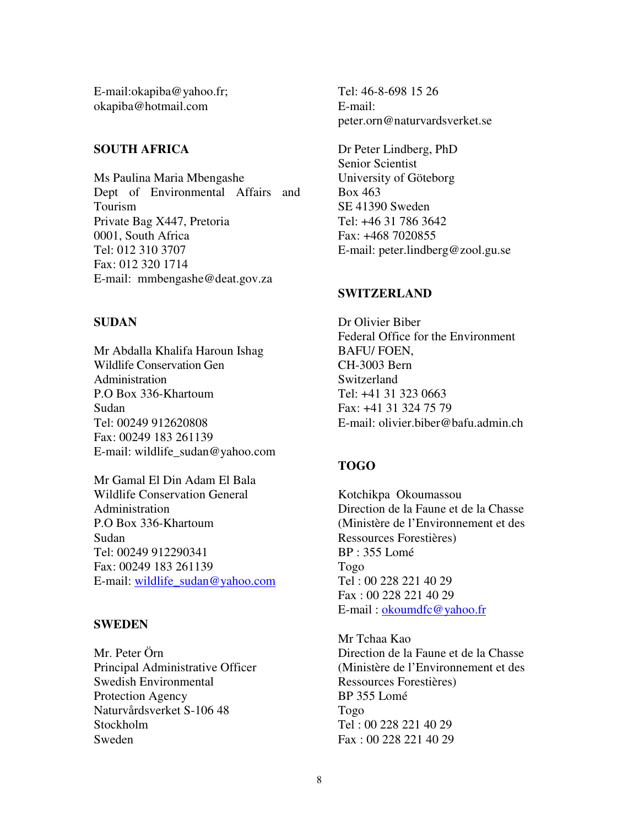E-mail:okapiba@yahoo.fr; okapiba@hotmail.com

## **SOUTH AFRICA**

Ms Paulina Maria Mbengashe Dept of Environmental Affairs and Tourism Private Bag X447, Pretoria 0001, South Africa Tel: 012 310 3707 Fax: 012 320 1714 E-mail: mmbengashe@deat.gov.za

## **SUDAN**

Mr Abdalla Khalifa Haroun Ishag Wildlife Conservation Gen Administration P.O Box 336-Khartoum Sudan Tel: 00249 912620808 Fax: 00249 183 261139 E-mail: wildlife\_sudan@yahoo.com

Mr Gamal El Din Adam El Bala Wildlife Conservation General Administration P.O Box 336-Khartoum Sudan Tel: 00249 912290341 Fax: 00249 183 261139 E-mail: wildlife\_sudan@yahoo.com

# **SWEDEN**

Mr. Peter Örn Principal Administrative Officer Swedish Environmental Protection Agency Naturvårdsverket S-106 48 Stockholm Sweden

Tel: 46-8-698 15 26 E-mail: peter.orn@naturvardsverket.se

Dr Peter Lindberg, PhD Senior Scientist University of Göteborg Box 463 SE 41390 Sweden Tel: +46 31 786 3642 Fax: +468 7020855 E-mail: peter.lindberg@zool.gu.se

## **SWITZERLAND**

Dr Olivier Biber Federal Office for the Environment BAFU/ FOEN, CH-3003 Bern Switzerland Tel: +41 31 323 0663 Fax: +41 31 324 75 79 E-mail: olivier.biber@bafu.admin.ch

# **TOGO**

Kotchikpa Okoumassou Direction de la Faune et de la Chasse (Ministère de l'Environnement et des Ressources Forestières) BP : 355 Lomé Togo Tel : 00 228 221 40 29 Fax : 00 228 221 40 29 E-mail : okoumdfc@yahoo.fr

Mr Tchaa Kao Direction de la Faune et de la Chasse (Ministère de l'Environnement et des Ressources Forestières) BP 355 Lomé Togo Tel : 00 228 221 40 29 Fax : 00 228 221 40 29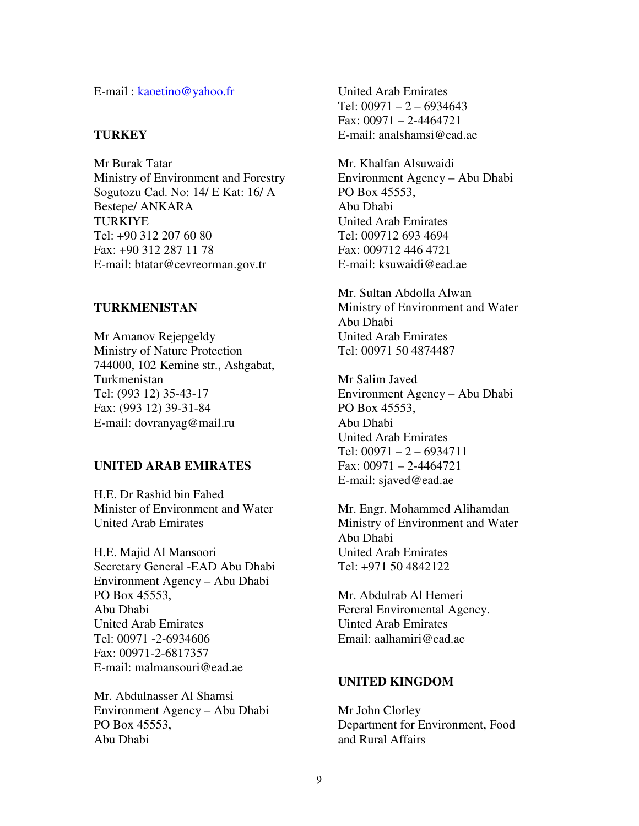E-mail : kaoetino@yahoo.fr

#### **TURKEY**

Mr Burak Tatar Ministry of Environment and Forestry Sogutozu Cad. No: 14/ E Kat: 16/ A Bestepe/ ANKARA TURKIYE Tel: +90 312 207 60 80 Fax: +90 312 287 11 78 E-mail: btatar@cevreorman.gov.tr

#### **TURKMENISTAN**

Mr Amanov Rejepgeldy Ministry of Nature Protection 744000, 102 Kemine str., Ashgabat, Turkmenistan Tel: (993 12) 35-43-17 Fax: (993 12) 39-31-84 E-mail: dovranyag@mail.ru

## **UNITED ARAB EMIRATES**

H.E. Dr Rashid bin Fahed Minister of Environment and Water United Arab Emirates

H.E. Majid Al Mansoori Secretary General -EAD Abu Dhabi Environment Agency – Abu Dhabi PO Box 45553, Abu Dhabi United Arab Emirates Tel: 00971 -2-6934606 Fax: 00971-2-6817357 E-mail: malmansouri@ead.ae

Mr. Abdulnasser Al Shamsi Environment Agency – Abu Dhabi PO Box 45553, Abu Dhabi

United Arab Emirates Tel:  $00971 - 2 - 6934643$ Fax: 00971 – 2-4464721 E-mail: analshamsi@ead.ae

Mr. Khalfan Alsuwaidi Environment Agency – Abu Dhabi PO Box 45553, Abu Dhabi United Arab Emirates Tel: 009712 693 4694 Fax: 009712 446 4721 E-mail: ksuwaidi@ead.ae

Mr. Sultan Abdolla Alwan Ministry of Environment and Water Abu Dhabi United Arab Emirates Tel: 00971 50 4874487

Mr Salim Javed Environment Agency – Abu Dhabi PO Box 45553, Abu Dhabi United Arab Emirates Tel:  $00971 - 2 - 6934711$ Fax: 00971 – 2-4464721 E-mail: sjaved@ead.ae

Mr. Engr. Mohammed Alihamdan Ministry of Environment and Water Abu Dhabi United Arab Emirates Tel: +971 50 4842122

Mr. Abdulrab Al Hemeri Fereral Enviromental Agency. Uinted Arab Emirates Email: aalhamiri@ead.ae

#### **UNITED KINGDOM**

Mr John Clorley Department for Environment, Food and Rural Affairs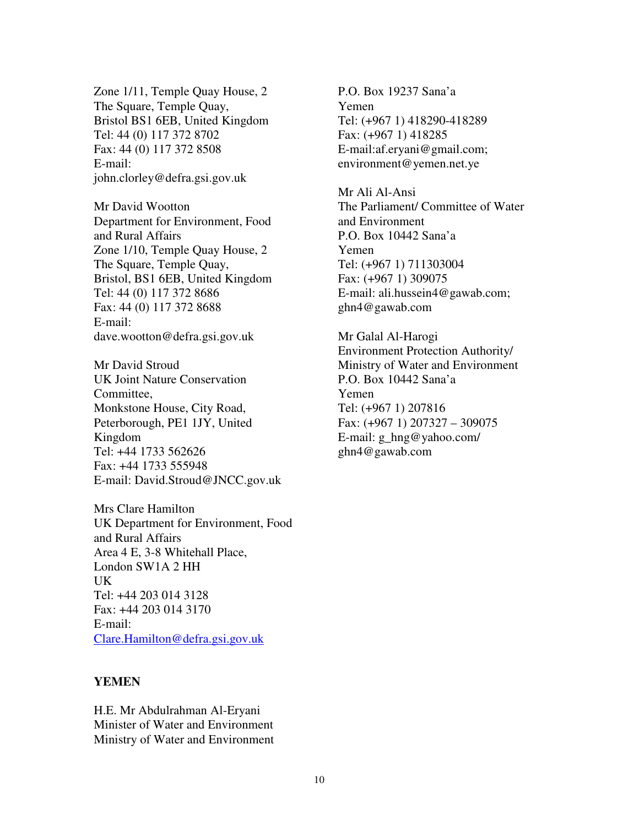Zone 1/11, Temple Quay House, 2 The Square, Temple Quay, Bristol BS1 6EB, United Kingdom Tel: 44 (0) 117 372 8702 Fax: 44 (0) 117 372 8508 E-mail: john.clorley@defra.gsi.gov.uk

Mr David Wootton Department for Environment, Food and Rural Affairs Zone 1/10, Temple Quay House, 2 The Square, Temple Quay, Bristol, BS1 6EB, United Kingdom Tel: 44 (0) 117 372 8686 Fax: 44 (0) 117 372 8688 E-mail: dave.wootton@defra.gsi.gov.uk

Mr David Stroud UK Joint Nature Conservation Committee, Monkstone House, City Road, Peterborough, PE1 1JY, United Kingdom Tel: +44 1733 562626 Fax: +44 1733 555948 E-mail: David.Stroud@JNCC.gov.uk

Mrs Clare Hamilton UK Department for Environment, Food and Rural Affairs Area 4 E, 3-8 Whitehall Place, London SW1A 2 HH UK Tel: +44 203 014 3128 Fax: +44 203 014 3170 E-mail: Clare.Hamilton@defra.gsi.gov.uk

#### **YEMEN**

H.E. Mr Abdulrahman Al-Eryani Minister of Water and Environment Ministry of Water and Environment P.O. Box 19237 Sana'a Yemen Tel: (+967 1) 418290-418289 Fax: (+967 1) 418285 E-mail:af.eryani@gmail.com; environment@yemen.net.ye

Mr Ali Al-Ansi The Parliament/ Committee of Water and Environment P.O. Box 10442 Sana'a Yemen Tel: (+967 1) 711303004 Fax: (+967 1) 309075 E-mail: ali.hussein4@gawab.com; ghn4@gawab.com

Mr Galal Al-Harogi Environment Protection Authority/ Ministry of Water and Environment P.O. Box 10442 Sana'a Yemen Tel: (+967 1) 207816 Fax: (+967 1) 207327 – 309075 E-mail: g\_hng@yahoo.com/ ghn4@gawab.com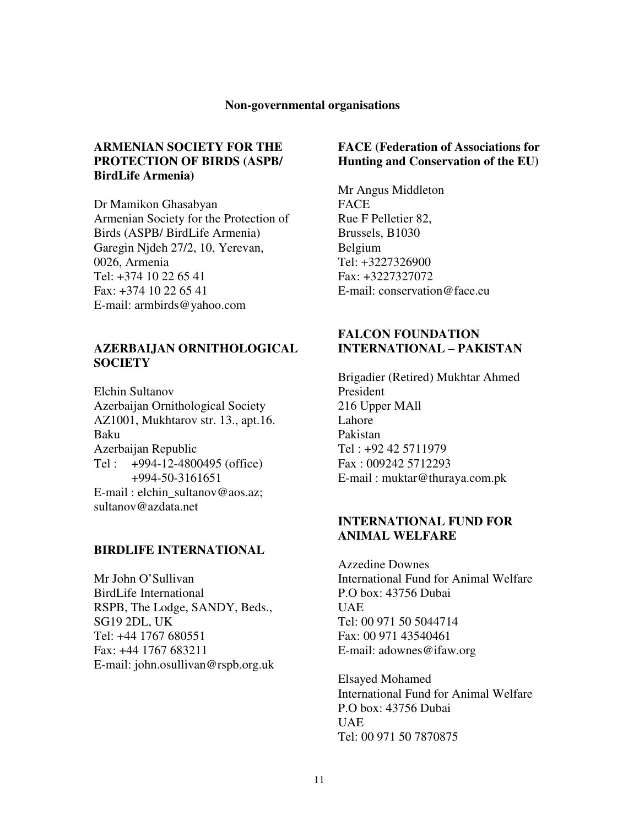#### **Non-governmental organisations**

## **ARMENIAN SOCIETY FOR THE PROTECTION OF BIRDS (ASPB/ BirdLife Armenia)**

Dr Mamikon Ghasabyan Armenian Society for the Protection of Birds (ASPB/ BirdLife Armenia) Garegin Njdeh 27/2, 10, Yerevan, 0026, Armenia Tel: +374 10 22 65 41 Fax: +374 10 22 65 41 E-mail: armbirds@yahoo.com

#### **AZERBAIJAN ORNITHOLOGICAL SOCIETY**

Elchin Sultanov Azerbaijan Ornithological Society AZ1001, Mukhtarov str. 13., apt.16. Baku Azerbaijan Republic Tel : +994-12-4800495 (office) +994-50-3161651 E-mail : elchin\_sultanov@aos.az; sultanov@azdata.net

#### **BIRDLIFE INTERNATIONAL**

Mr John O'Sullivan BirdLife International RSPB, The Lodge, SANDY, Beds., SG19 2DL, UK Tel: +44 1767 680551 Fax: +44 1767 683211 E-mail: john.osullivan@rspb.org.uk

## **FACE (Federation of Associations for Hunting and Conservation of the EU)**

Mr Angus Middleton FACE Rue F Pelletier 82, Brussels, B1030 Belgium Tel: +3227326900 Fax: +3227327072 E-mail: conservation@face.eu

## **FALCON FOUNDATION INTERNATIONAL – PAKISTAN**

Brigadier (Retired) Mukhtar Ahmed President 216 Upper MAll Lahore Pakistan Tel : +92 42 5711979 Fax : 009242 5712293 E-mail : muktar@thuraya.com.pk

### **INTERNATIONAL FUND FOR ANIMAL WELFARE**

Azzedine Downes International Fund for Animal Welfare P.O box: 43756 Dubai UAE Tel: 00 971 50 5044714 Fax: 00 971 43540461 E-mail: adownes@ifaw.org

Elsayed Mohamed International Fund for Animal Welfare P.O box: 43756 Dubai UAE Tel: 00 971 50 7870875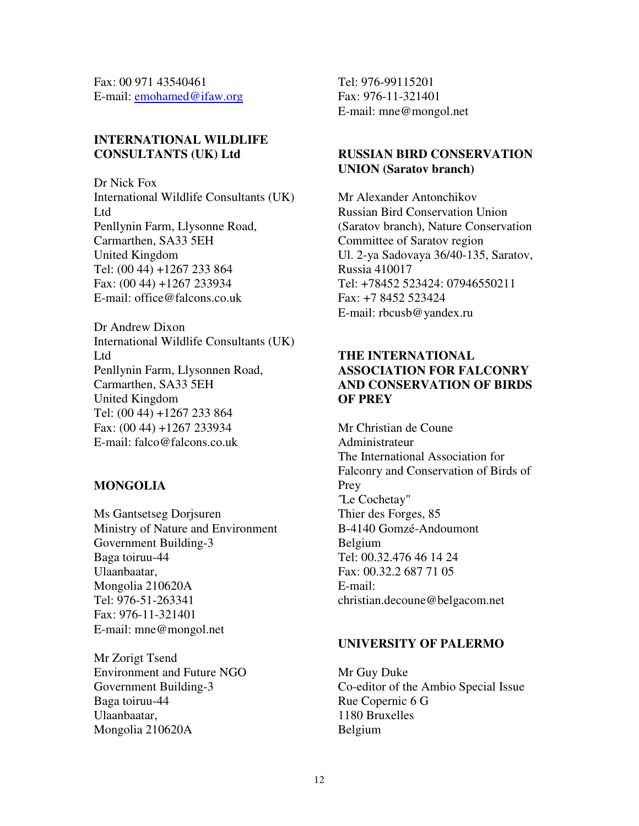Fax: 00 971 43540461 E-mail: emohamed@ifaw.org

# **INTERNATIONAL WILDLIFE CONSULTANTS (UK) Ltd**

Dr Nick Fox International Wildlife Consultants (UK) Ltd Penllynin Farm, Llysonne Road, Carmarthen, SA33 5EH United Kingdom Tel: (00 44) +1267 233 864 Fax: (00 44) +1267 233934 E-mail: office@falcons.co.uk

Dr Andrew Dixon International Wildlife Consultants (UK) Ltd Penllynin Farm, Llysonnen Road, Carmarthen, SA33 5EH United Kingdom Tel: (00 44) +1267 233 864 Fax: (00 44) +1267 233934 E-mail: falco@falcons.co.uk

#### **MONGOLIA**

Ms Gantsetseg Dorjsuren Ministry of Nature and Environment Government Building-3 Baga toiruu-44 Ulaanbaatar, Mongolia 210620A Tel: 976-51-263341 Fax: 976-11-321401 E-mail: mne@mongol.net

Mr Zorigt Tsend Environment and Future NGO Government Building-3 Baga toiruu-44 Ulaanbaatar, Mongolia 210620A

Tel: 976-99115201 Fax: 976-11-321401 E-mail: mne@mongol.net

## **RUSSIAN BIRD CONSERVATION UNION (Saratov branch)**

Mr Alexander Antonchikov Russian Bird Conservation Union (Saratov branch), Nature Conservation Committee of Saratov region Ul. 2-ya Sadovaya 36/40-135, Saratov, Russia 410017 Tel: +78452 523424: 07946550211 Fax: +7 8452 523424 E-mail: rbcusb@yandex.ru

# **THE INTERNATIONAL ASSOCIATION FOR FALCONRY AND CONSERVATION OF BIRDS OF PREY**

Mr Christian de Coune Administrateur The International Association for Falconry and Conservation of Birds of Prey ˝Le Cochetay" Thier des Forges, 85 B-4140 Gomzé-Andoumont Belgium Tel: 00.32.476 46 14 24 Fax: 00.32.2 687 71 05 E-mail: christian.decoune@belgacom.net

## **UNIVERSITY OF PALERMO**

Mr Guy Duke Co-editor of the Ambio Special Issue Rue Copernic 6 G 1180 Bruxelles Belgium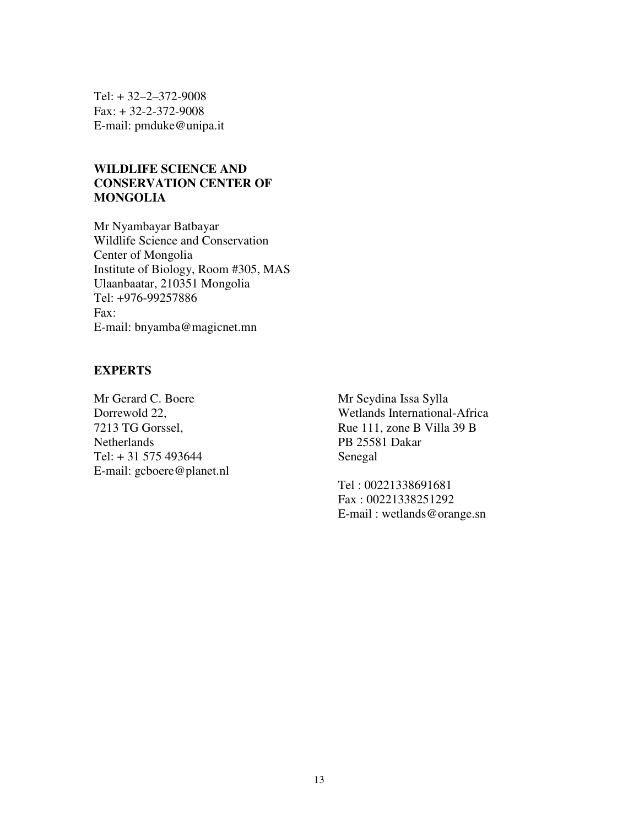Tel: + 32–2–372-9008 Fax: + 32-2-372-9008 E-mail: pmduke@unipa.it

# **WILDLIFE SCIENCE AND CONSERVATION CENTER OF MONGOLIA**

Mr Nyambayar Batbayar Wildlife Science and Conservation Center of Mongolia Institute of Biology, Room #305, MAS Ulaanbaatar, 210351 Mongolia Tel: +976-99257886 Fax: E-mail: bnyamba@magicnet.mn

## **EXPERTS**

Mr Gerard C. Boere Dorrewold 22, 7213 TG Gorssel, **Netherlands** Tel: + 31 575 493644 E-mail: gcboere@planet.nl

Mr Seydina Issa Sylla Wetlands International-Africa Rue 111, zone B Villa 39 B PB 25581 Dakar Senegal

Tel : 00221338691681 Fax : 00221338251292 E-mail : wetlands@orange.sn